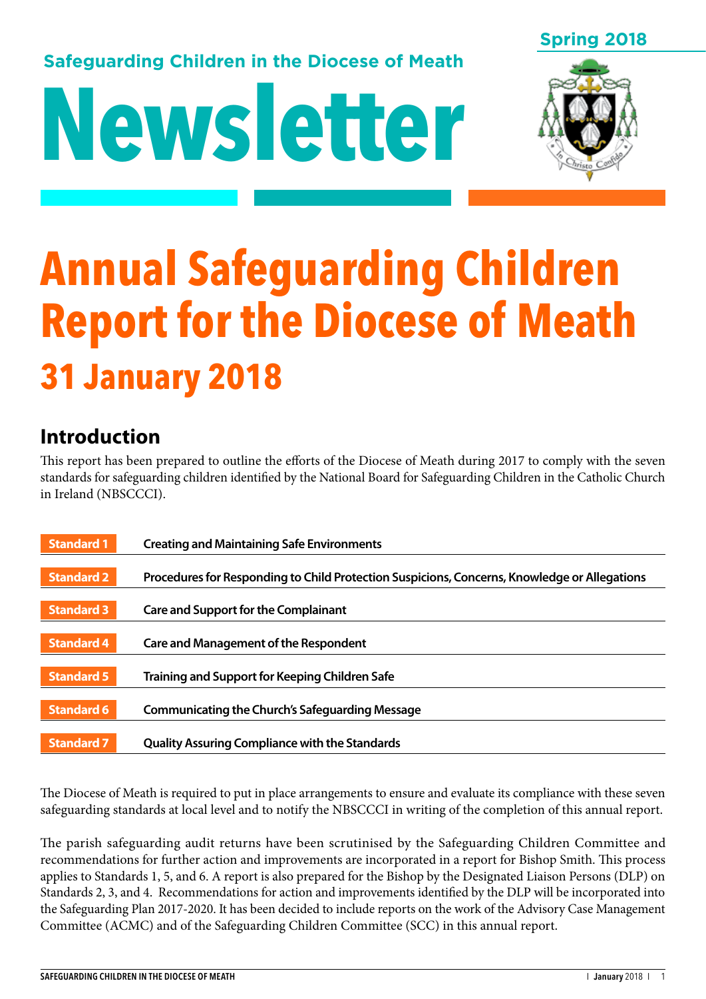## **Safeguarding Children in the Diocese of Meath**

# **Newsletter**





# **Annual Safeguarding Children Report for the Diocese of Meath 31 January 2018**

## **Introduction**

This report has been prepared to outline the efforts of the Diocese of Meath during 2017 to comply with the seven standards for safeguarding children identified by the National Board for Safeguarding Children in the Catholic Church in Ireland (NBSCCCI).

| <b>Standard 1</b> | <b>Creating and Maintaining Safe Environments</b>                                            |
|-------------------|----------------------------------------------------------------------------------------------|
| <b>Standard 2</b> | Procedures for Responding to Child Protection Suspicions, Concerns, Knowledge or Allegations |
| <b>Standard 3</b> | <b>Care and Support for the Complainant</b>                                                  |
| <b>Standard 4</b> | <b>Care and Management of the Respondent</b>                                                 |
| <b>Standard 5</b> | <b>Training and Support for Keeping Children Safe</b>                                        |
| <b>Standard 6</b> | <b>Communicating the Church's Safeguarding Message</b>                                       |
| <b>Standard 7</b> | <b>Quality Assuring Compliance with the Standards</b>                                        |

The Diocese of Meath is required to put in place arrangements to ensure and evaluate its compliance with these seven safeguarding standards at local level and to notify the NBSCCCI in writing of the completion of this annual report.

The parish safeguarding audit returns have been scrutinised by the Safeguarding Children Committee and recommendations for further action and improvements are incorporated in a report for Bishop Smith. This process applies to Standards 1, 5, and 6. A report is also prepared for the Bishop by the Designated Liaison Persons (DLP) on Standards 2, 3, and 4. Recommendations for action and improvements identified by the DLP will be incorporated into the Safeguarding Plan 2017-2020. It has been decided to include reports on the work of the Advisory Case Management Committee (ACMC) and of the Safeguarding Children Committee (SCC) in this annual report.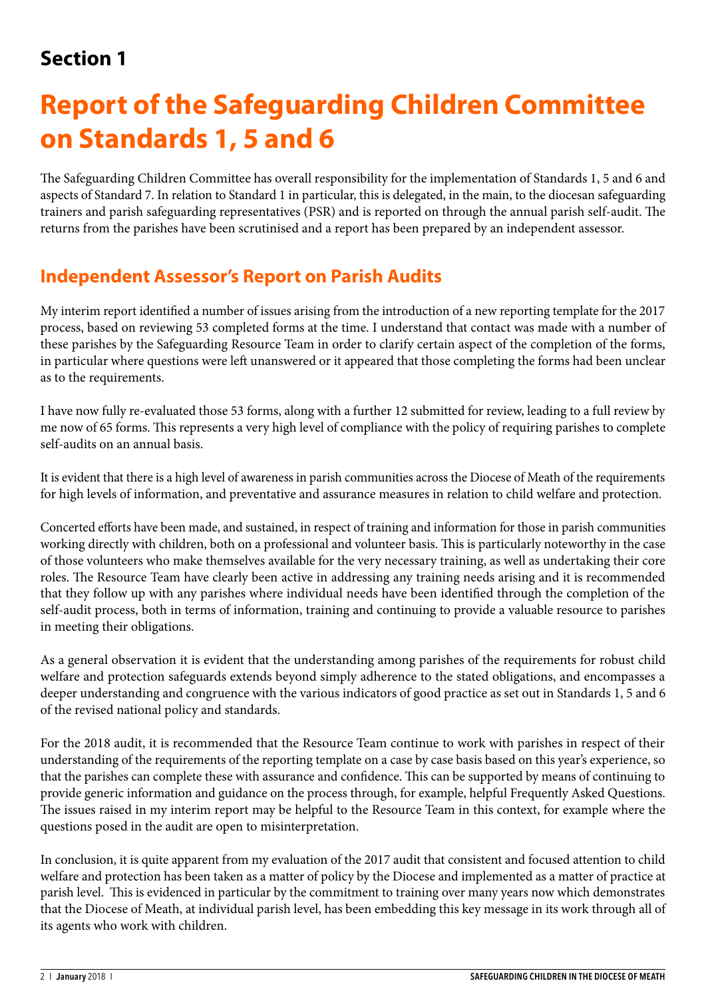## **Section 1**

# **Report of the Safeguarding Children Committee on Standards 1, 5 and 6**

The Safeguarding Children Committee has overall responsibility for the implementation of Standards 1, 5 and 6 and aspects of Standard 7. In relation to Standard 1 in particular, this is delegated, in the main, to the diocesan safeguarding trainers and parish safeguarding representatives (PSR) and is reported on through the annual parish self-audit. The returns from the parishes have been scrutinised and a report has been prepared by an independent assessor.

## **Independent Assessor's Report on Parish Audits**

My interim report identified a number of issues arising from the introduction of a new reporting template for the 2017 process, based on reviewing 53 completed forms at the time. I understand that contact was made with a number of these parishes by the Safeguarding Resource Team in order to clarify certain aspect of the completion of the forms, in particular where questions were left unanswered or it appeared that those completing the forms had been unclear as to the requirements.

I have now fully re-evaluated those 53 forms, along with a further 12 submitted for review, leading to a full review by me now of 65 forms. This represents a very high level of compliance with the policy of requiring parishes to complete self-audits on an annual basis.

It is evident that there is a high level of awareness in parish communities across the Diocese of Meath of the requirements for high levels of information, and preventative and assurance measures in relation to child welfare and protection.

Concerted efforts have been made, and sustained, in respect of training and information for those in parish communities working directly with children, both on a professional and volunteer basis. This is particularly noteworthy in the case of those volunteers who make themselves available for the very necessary training, as well as undertaking their core roles. The Resource Team have clearly been active in addressing any training needs arising and it is recommended that they follow up with any parishes where individual needs have been identified through the completion of the self-audit process, both in terms of information, training and continuing to provide a valuable resource to parishes in meeting their obligations.

As a general observation it is evident that the understanding among parishes of the requirements for robust child welfare and protection safeguards extends beyond simply adherence to the stated obligations, and encompasses a deeper understanding and congruence with the various indicators of good practice as set out in Standards 1, 5 and 6 of the revised national policy and standards.

For the 2018 audit, it is recommended that the Resource Team continue to work with parishes in respect of their understanding of the requirements of the reporting template on a case by case basis based on this year's experience, so that the parishes can complete these with assurance and confidence. This can be supported by means of continuing to provide generic information and guidance on the process through, for example, helpful Frequently Asked Questions. The issues raised in my interim report may be helpful to the Resource Team in this context, for example where the questions posed in the audit are open to misinterpretation.

In conclusion, it is quite apparent from my evaluation of the 2017 audit that consistent and focused attention to child welfare and protection has been taken as a matter of policy by the Diocese and implemented as a matter of practice at parish level. This is evidenced in particular by the commitment to training over many years now which demonstrates that the Diocese of Meath, at individual parish level, has been embedding this key message in its work through all of its agents who work with children.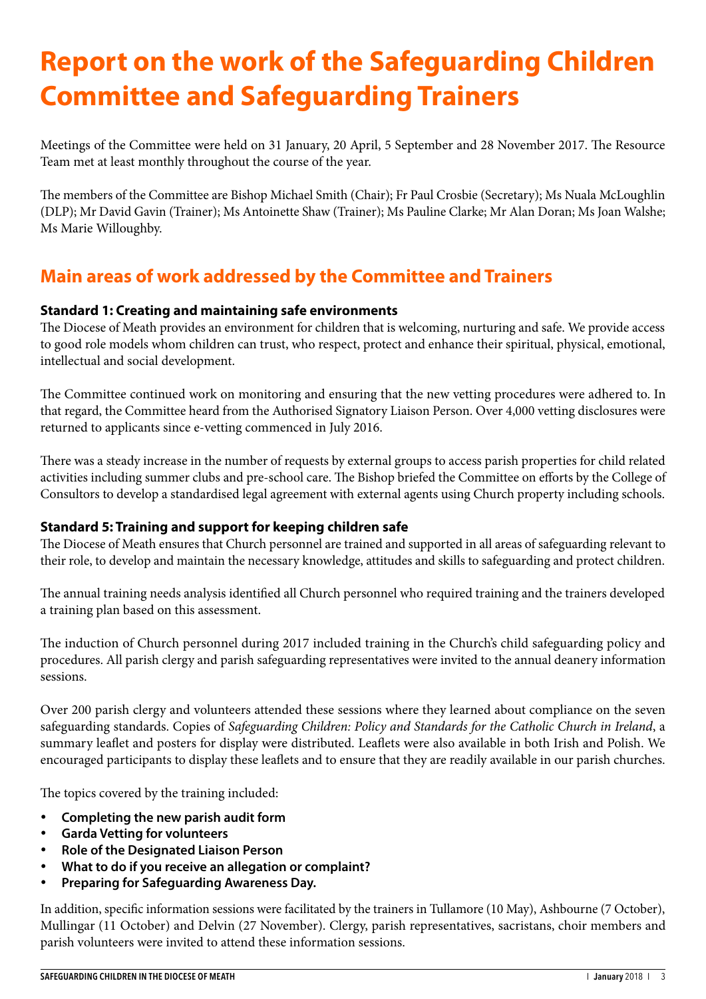# **Report on the work of the Safeguarding Children Committee and Safeguarding Trainers**

Meetings of the Committee were held on 31 January, 20 April, 5 September and 28 November 2017. The Resource Team met at least monthly throughout the course of the year.

The members of the Committee are Bishop Michael Smith (Chair); Fr Paul Crosbie (Secretary); Ms Nuala McLoughlin (DLP); Mr David Gavin (Trainer); Ms Antoinette Shaw (Trainer); Ms Pauline Clarke; Mr Alan Doran; Ms Joan Walshe; Ms Marie Willoughby.

## **Main areas of work addressed by the Committee and Trainers**

## **Standard 1: Creating and maintaining safe environments**

The Diocese of Meath provides an environment for children that is welcoming, nurturing and safe. We provide access to good role models whom children can trust, who respect, protect and enhance their spiritual, physical, emotional, intellectual and social development.

The Committee continued work on monitoring and ensuring that the new vetting procedures were adhered to. In that regard, the Committee heard from the Authorised Signatory Liaison Person. Over 4,000 vetting disclosures were returned to applicants since e-vetting commenced in July 2016.

There was a steady increase in the number of requests by external groups to access parish properties for child related activities including summer clubs and pre-school care. The Bishop briefed the Committee on efforts by the College of Consultors to develop a standardised legal agreement with external agents using Church property including schools.

## **Standard 5: Training and support for keeping children safe**

The Diocese of Meath ensures that Church personnel are trained and supported in all areas of safeguarding relevant to their role, to develop and maintain the necessary knowledge, attitudes and skills to safeguarding and protect children.

The annual training needs analysis identified all Church personnel who required training and the trainers developed a training plan based on this assessment.

The induction of Church personnel during 2017 included training in the Church's child safeguarding policy and procedures. All parish clergy and parish safeguarding representatives were invited to the annual deanery information sessions.

Over 200 parish clergy and volunteers attended these sessions where they learned about compliance on the seven safeguarding standards. Copies of *Safeguarding Children: Policy and Standards for the Catholic Church in Ireland*, a summary leaflet and posters for display were distributed. Leaflets were also available in both Irish and Polish. We encouraged participants to display these leaflets and to ensure that they are readily available in our parish churches.

The topics covered by the training included:

- **Completing the new parish audit form**
- • **Garda Vetting for volunteers**
- **Role of the Designated Liaison Person**
- **What to do if you receive an allegation or complaint?**
- **Preparing for Safeguarding Awareness Day.**

In addition, specific information sessions were facilitated by the trainers in Tullamore (10 May), Ashbourne (7 October), Mullingar (11 October) and Delvin (27 November). Clergy, parish representatives, sacristans, choir members and parish volunteers were invited to attend these information sessions.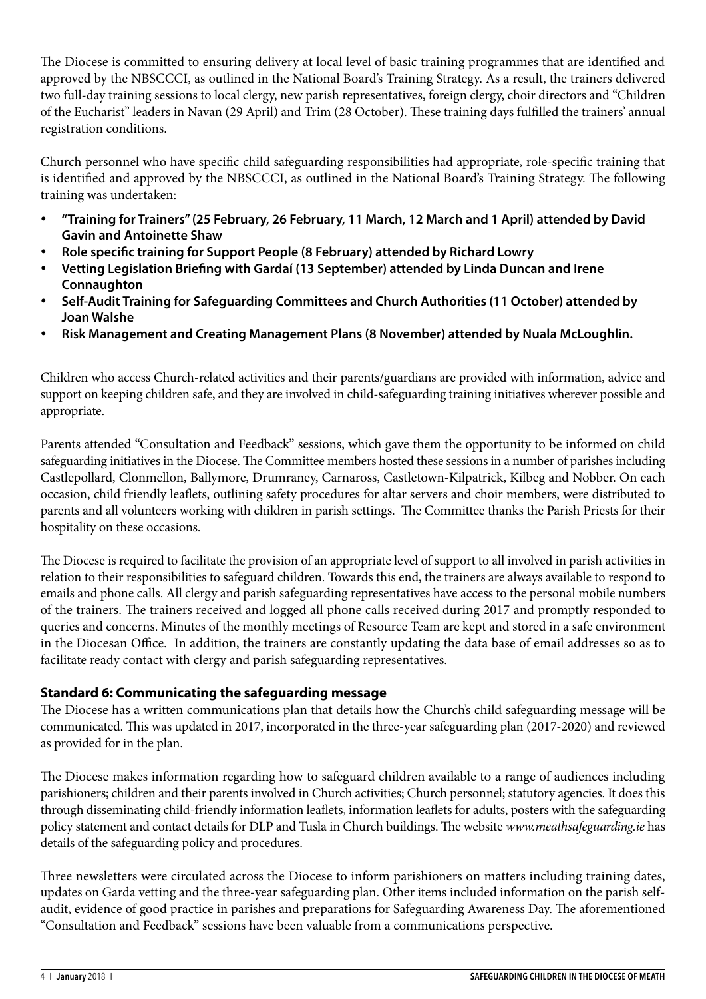The Diocese is committed to ensuring delivery at local level of basic training programmes that are identified and approved by the NBSCCCI, as outlined in the National Board's Training Strategy. As a result, the trainers delivered two full-day training sessions to local clergy, new parish representatives, foreign clergy, choir directors and "Children of the Eucharist" leaders in Navan (29 April) and Trim (28 October). These training days fulfilled the trainers' annual registration conditions.

Church personnel who have specific child safeguarding responsibilities had appropriate, role-specific training that is identified and approved by the NBSCCCI, as outlined in the National Board's Training Strategy. The following training was undertaken:

- • **"Training for Trainers" (25 February, 26 February, 11 March, 12 March and 1 April) attended by David Gavin and Antoinette Shaw**
- **Role specific training for Support People (8 February) attended by Richard Lowry**
- • **Vetting Legislation Briefing with Gardaí (13 September) attended by Linda Duncan and Irene Connaughton**
- • **Self-Audit Training for Safeguarding Committees and Church Authorities (11 October) attended by Joan Walshe**
- **Risk Management and Creating Management Plans (8 November) attended by Nuala McLoughlin.**

Children who access Church-related activities and their parents/guardians are provided with information, advice and support on keeping children safe, and they are involved in child-safeguarding training initiatives wherever possible and appropriate.

Parents attended "Consultation and Feedback" sessions, which gave them the opportunity to be informed on child safeguarding initiatives in the Diocese. The Committee members hosted these sessions in a number of parishes including Castlepollard, Clonmellon, Ballymore, Drumraney, Carnaross, Castletown-Kilpatrick, Kilbeg and Nobber. On each occasion, child friendly leaflets, outlining safety procedures for altar servers and choir members, were distributed to parents and all volunteers working with children in parish settings. The Committee thanks the Parish Priests for their hospitality on these occasions.

The Diocese is required to facilitate the provision of an appropriate level of support to all involved in parish activities in relation to their responsibilities to safeguard children. Towards this end, the trainers are always available to respond to emails and phone calls. All clergy and parish safeguarding representatives have access to the personal mobile numbers of the trainers. The trainers received and logged all phone calls received during 2017 and promptly responded to queries and concerns. Minutes of the monthly meetings of Resource Team are kept and stored in a safe environment in the Diocesan Office. In addition, the trainers are constantly updating the data base of email addresses so as to facilitate ready contact with clergy and parish safeguarding representatives.

## **Standard 6: Communicating the safeguarding message**

The Diocese has a written communications plan that details how the Church's child safeguarding message will be communicated. This was updated in 2017, incorporated in the three-year safeguarding plan (2017-2020) and reviewed as provided for in the plan.

The Diocese makes information regarding how to safeguard children available to a range of audiences including parishioners; children and their parents involved in Church activities; Church personnel; statutory agencies. It does this through disseminating child-friendly information leaflets, information leaflets for adults, posters with the safeguarding policy statement and contact details for DLP and Tusla in Church buildings. The website *www.meathsafeguarding.ie* has details of the safeguarding policy and procedures.

Three newsletters were circulated across the Diocese to inform parishioners on matters including training dates, updates on Garda vetting and the three-year safeguarding plan. Other items included information on the parish selfaudit, evidence of good practice in parishes and preparations for Safeguarding Awareness Day. The aforementioned "Consultation and Feedback" sessions have been valuable from a communications perspective.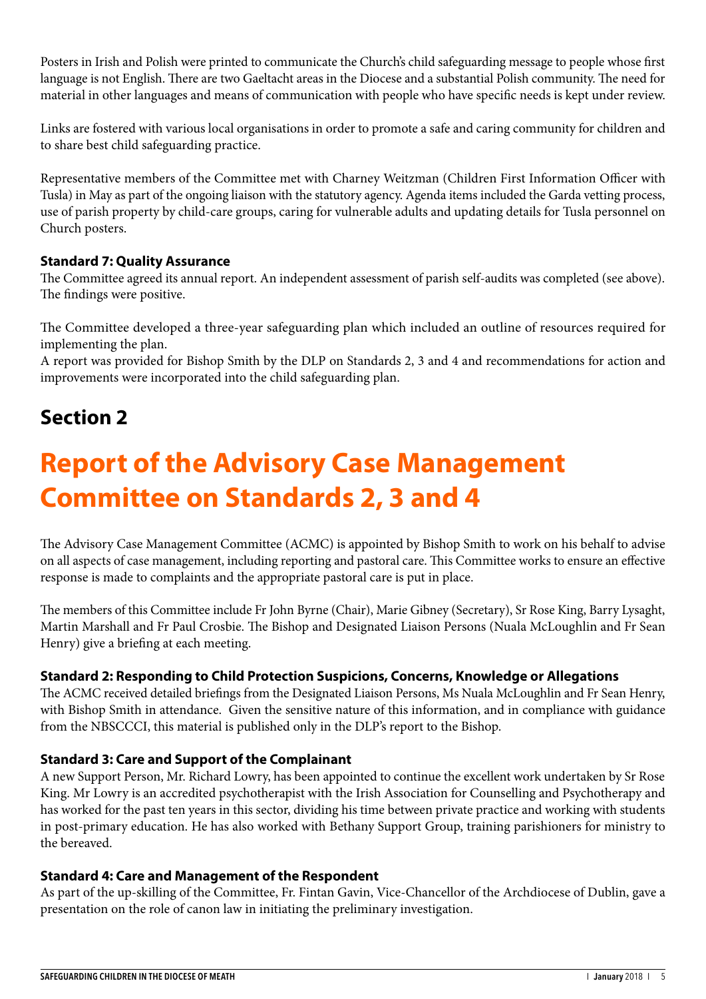Posters in Irish and Polish were printed to communicate the Church's child safeguarding message to people whose first language is not English. There are two Gaeltacht areas in the Diocese and a substantial Polish community. The need for material in other languages and means of communication with people who have specific needs is kept under review.

Links are fostered with various local organisations in order to promote a safe and caring community for children and to share best child safeguarding practice.

Representative members of the Committee met with Charney Weitzman (Children First Information Officer with Tusla) in May as part of the ongoing liaison with the statutory agency. Agenda items included the Garda vetting process, use of parish property by child-care groups, caring for vulnerable adults and updating details for Tusla personnel on Church posters.

## **Standard 7: Quality Assurance**

The Committee agreed its annual report. An independent assessment of parish self-audits was completed (see above). The findings were positive.

The Committee developed a three-year safeguarding plan which included an outline of resources required for implementing the plan.

A report was provided for Bishop Smith by the DLP on Standards 2, 3 and 4 and recommendations for action and improvements were incorporated into the child safeguarding plan.

## **Section 2**

# **Report of the Advisory Case Management Committee on Standards 2, 3 and 4**

The Advisory Case Management Committee (ACMC) is appointed by Bishop Smith to work on his behalf to advise on all aspects of case management, including reporting and pastoral care. This Committee works to ensure an effective response is made to complaints and the appropriate pastoral care is put in place.

The members of this Committee include Fr John Byrne (Chair), Marie Gibney (Secretary), Sr Rose King, Barry Lysaght, Martin Marshall and Fr Paul Crosbie. The Bishop and Designated Liaison Persons (Nuala McLoughlin and Fr Sean Henry) give a briefing at each meeting.

#### **Standard 2: Responding to Child Protection Suspicions, Concerns, Knowledge or Allegations**

The ACMC received detailed briefings from the Designated Liaison Persons, Ms Nuala McLoughlin and Fr Sean Henry, with Bishop Smith in attendance. Given the sensitive nature of this information, and in compliance with guidance from the NBSCCCI, this material is published only in the DLP's report to the Bishop.

#### **Standard 3: Care and Support of the Complainant**

A new Support Person, Mr. Richard Lowry, has been appointed to continue the excellent work undertaken by Sr Rose King. Mr Lowry is an accredited psychotherapist with the Irish Association for Counselling and Psychotherapy and has worked for the past ten years in this sector, dividing his time between private practice and working with students in post-primary education. He has also worked with Bethany Support Group, training parishioners for ministry to the bereaved.

#### **Standard 4: Care and Management of the Respondent**

As part of the up-skilling of the Committee, Fr. Fintan Gavin, Vice-Chancellor of the Archdiocese of Dublin, gave a presentation on the role of canon law in initiating the preliminary investigation.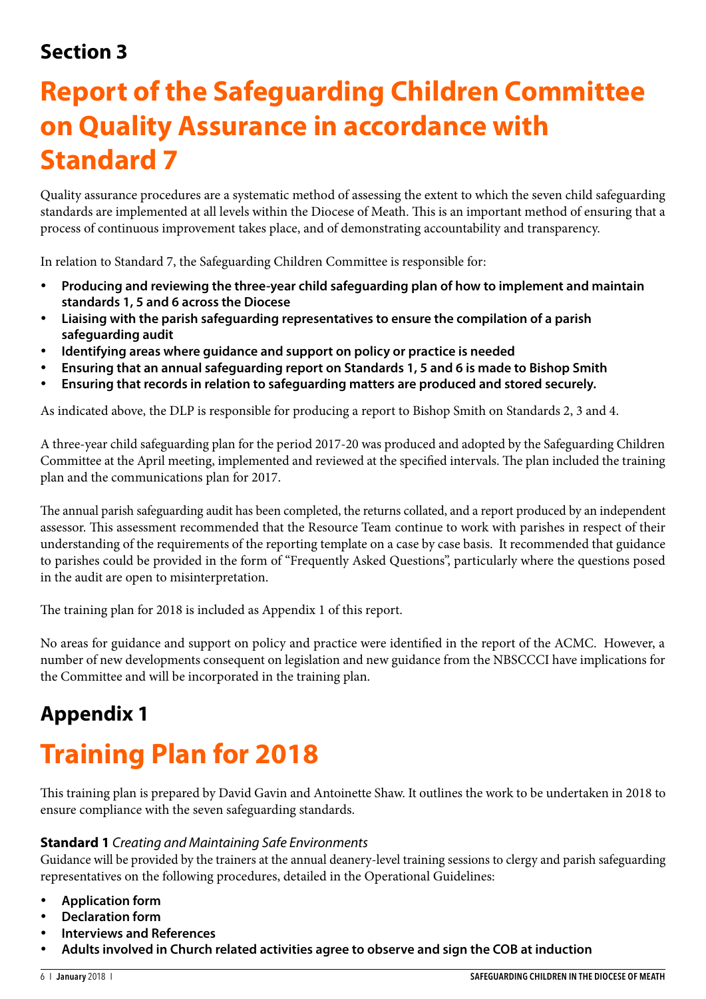## **Section 3**

# **Report of the Safeguarding Children Committee on Quality Assurance in accordance with Standard 7**

Quality assurance procedures are a systematic method of assessing the extent to which the seven child safeguarding standards are implemented at all levels within the Diocese of Meath. This is an important method of ensuring that a process of continuous improvement takes place, and of demonstrating accountability and transparency.

In relation to Standard 7, the Safeguarding Children Committee is responsible for:

- Producing and reviewing the three-year child safeguarding plan of how to implement and maintain **standards 1, 5 and 6 across the Diocese**
- **Liaising with the parish safeguarding representatives to ensure the compilation of a parish safeguarding audit**
- **Identifying areas where guidance and support on policy or practice is needed**
- Ensuring that an annual safeguarding report on Standards 1, 5 and 6 is made to Bishop Smith
- Ensuring that records in relation to safeguarding matters are produced and stored securely.

As indicated above, the DLP is responsible for producing a report to Bishop Smith on Standards 2, 3 and 4.

A three-year child safeguarding plan for the period 2017-20 was produced and adopted by the Safeguarding Children Committee at the April meeting, implemented and reviewed at the specified intervals. The plan included the training plan and the communications plan for 2017.

The annual parish safeguarding audit has been completed, the returns collated, and a report produced by an independent assessor. This assessment recommended that the Resource Team continue to work with parishes in respect of their understanding of the requirements of the reporting template on a case by case basis. It recommended that guidance to parishes could be provided in the form of "Frequently Asked Questions", particularly where the questions posed in the audit are open to misinterpretation.

The training plan for 2018 is included as Appendix 1 of this report.

No areas for guidance and support on policy and practice were identified in the report of the ACMC. However, a number of new developments consequent on legislation and new guidance from the NBSCCCI have implications for the Committee and will be incorporated in the training plan.

## **Appendix 1**

# **Training Plan for 2018**

This training plan is prepared by David Gavin and Antoinette Shaw. It outlines the work to be undertaken in 2018 to ensure compliance with the seven safeguarding standards.

#### **Standard 1** *Creating and Maintaining Safe Environments*

Guidance will be provided by the trainers at the annual deanery-level training sessions to clergy and parish safeguarding representatives on the following procedures, detailed in the Operational Guidelines:

- • **Application form**
- **Declaration form**
- **Interviews and References**
- Adults involved in Church related activities agree to observe and sign the COB at induction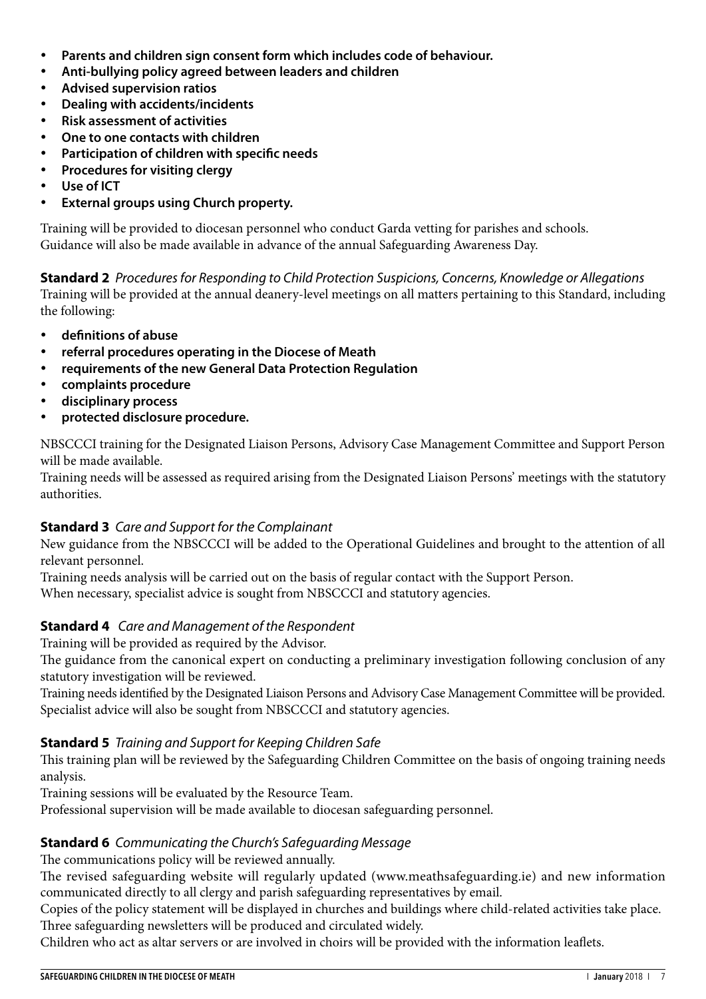- • **Parents and children sign consent form which includes code of behaviour.**
- • **Anti-bullying policy agreed between leaders and children**
- **Advised supervision ratios**
- **Dealing with accidents/incidents**
- **Risk assessment of activities**
- **One to one contacts with children**
- **Participation of children with specific needs**
- • **Procedures for visiting clergy**
- • **Use of ICT**
- • **External groups using Church property.**

Training will be provided to diocesan personnel who conduct Garda vetting for parishes and schools. Guidance will also be made available in advance of the annual Safeguarding Awareness Day.

**Standard 2** *Procedures for Responding to Child Protection Suspicions, Concerns, Knowledge or Allegations* 

Training will be provided at the annual deanery-level meetings on all matters pertaining to this Standard, including the following:

- • **definitions of abuse**
- referral procedures operating in the Diocese of Meath
- requirements of the new General Data Protection Regulation
- • **complaints procedure**
- disciplinary process
- • **protected disclosure procedure.**

NBSCCCI training for the Designated Liaison Persons, Advisory Case Management Committee and Support Person will be made available.

Training needs will be assessed as required arising from the Designated Liaison Persons' meetings with the statutory authorities.

#### **Standard 3** *Care and Support for the Complainant*

New guidance from the NBSCCCI will be added to the Operational Guidelines and brought to the attention of all relevant personnel.

Training needs analysis will be carried out on the basis of regular contact with the Support Person. When necessary, specialist advice is sought from NBSCCCI and statutory agencies.

#### **Standard 4** *Care and Management of the Respondent*

Training will be provided as required by the Advisor.

The guidance from the canonical expert on conducting a preliminary investigation following conclusion of any statutory investigation will be reviewed.

Training needs identified by the Designated Liaison Persons and Advisory Case Management Committee will be provided. Specialist advice will also be sought from NBSCCCI and statutory agencies.

#### **Standard 5** *Training and Support for Keeping Children Safe*

This training plan will be reviewed by the Safeguarding Children Committee on the basis of ongoing training needs analysis.

Training sessions will be evaluated by the Resource Team.

Professional supervision will be made available to diocesan safeguarding personnel.

#### **Standard 6** *Communicating the Church's Safeguarding Message*

The communications policy will be reviewed annually.

The revised safeguarding website will regularly updated (www.meathsafeguarding.ie) and new information communicated directly to all clergy and parish safeguarding representatives by email.

Copies of the policy statement will be displayed in churches and buildings where child-related activities take place. Three safeguarding newsletters will be produced and circulated widely.

Children who act as altar servers or are involved in choirs will be provided with the information leaflets.